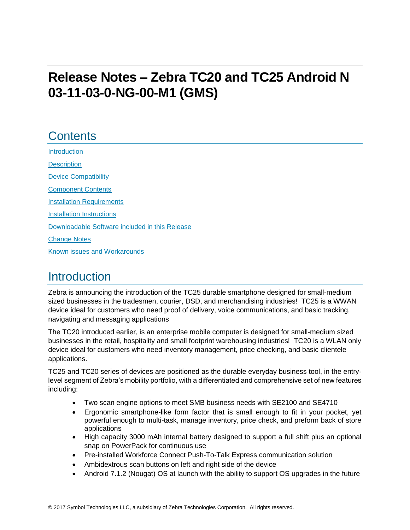# **Release Notes – Zebra TC20 and TC25 Android N 03-11-03-0-NG-00-M1 (GMS)**

## **Contents**

[Introduction](#page-0-0) **[Description](#page-0-0)** 

[Device Compatibility](#page-1-0)

[Component Contents](#page-1-1)

[Installation Requirements](#page-3-0)

[Installation Instructions](#page-3-1)

[Downloadable Software included in this Release](#page-5-0) 

<span id="page-0-0"></span>[Change Notes](#page-6-0)

Known issues [and](#page-9-0) Workarounds

## **Introduction**

Zebra is announcing the introduction of the TC25 durable smartphone designed for small-medium sized businesses in the tradesmen, courier, DSD, and merchandising industries! TC25 is a WWAN device ideal for customers who need proof of delivery, voice communications, and basic tracking, navigating and messaging applications

The TC20 introduced earlier, is an enterprise mobile computer is designed for small-medium sized businesses in the retail, hospitality and small footprint warehousing industries! TC20 is a WLAN only device ideal for customers who need inventory management, price checking, and basic clientele applications.

TC25 and TC20 series of devices are positioned as the durable everyday business tool, in the entrylevel segment of Zebra's mobility portfolio, with a differentiated and comprehensive set of new features including:

- Two scan engine options to meet SMB business needs with SE2100 and SE4710
- Ergonomic smartphone-like form factor that is small enough to fit in your pocket, yet powerful enough to multi-task, manage inventory, price check, and preform back of store applications
- High capacity 3000 mAh internal battery designed to support a full shift plus an optional snap on PowerPack for continuous use
- Pre-installed Workforce Connect Push-To-Talk Express communication solution
- Ambidextrous scan buttons on left and right side of the device
- Android 7.1.2 (Nougat) OS at launch with the ability to support OS upgrades in the future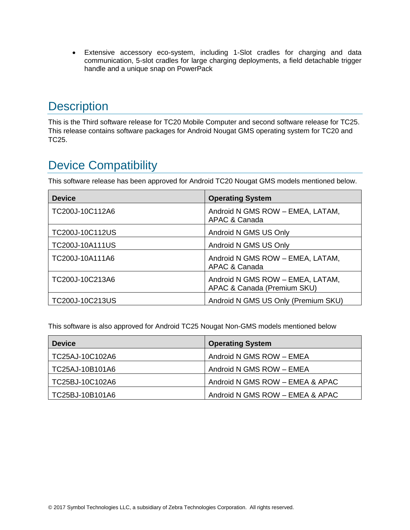Extensive accessory eco-system, including 1-Slot cradles for charging and data communication, 5-slot cradles for large charging deployments, a field detachable trigger handle and a unique snap on PowerPack

## **Description**

This is the Third software release for TC20 Mobile Computer and second software release for TC25. This release contains software packages for Android Nougat GMS operating system for TC20 and TC25.

## <span id="page-1-0"></span>Device Compatibility

This software release has been approved for Android TC20 Nougat GMS models mentioned below.

| <b>Device</b>          | <b>Operating System</b>                                         |
|------------------------|-----------------------------------------------------------------|
| TC200J-10C112A6        | Android N GMS ROW - EMEA, LATAM,<br>APAC & Canada               |
| TC200J-10C112US        | Android N GMS US Only                                           |
| <b>TC200J-10A111US</b> | Android N GMS US Only                                           |
| TC200J-10A111A6        | Android N GMS ROW - EMEA, LATAM,<br>APAC & Canada               |
| TC200J-10C213A6        | Android N GMS ROW - EMEA, LATAM,<br>APAC & Canada (Premium SKU) |
| TC200J-10C213US        | Android N GMS US Only (Premium SKU)                             |

This software is also approved for Android TC25 Nougat Non-GMS models mentioned below

<span id="page-1-1"></span>

| <b>Device</b>   | <b>Operating System</b>         |
|-----------------|---------------------------------|
| TC25AJ-10C102A6 | Android N GMS ROW - EMEA        |
| TC25AJ-10B101A6 | Android N GMS ROW - EMEA        |
| TC25BJ-10C102A6 | Android N GMS ROW - EMEA & APAC |
| TC25BJ-10B101A6 | Android N GMS ROW - EMEA & APAC |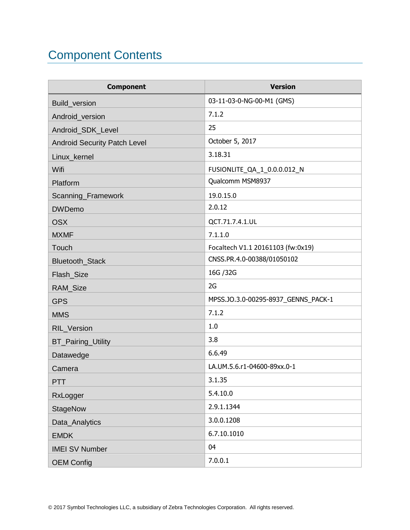# Component Contents

| <b>Component</b>                    | <b>Version</b>                      |
|-------------------------------------|-------------------------------------|
| <b>Build version</b>                | 03-11-03-0-NG-00-M1 (GMS)           |
| Android_version                     | 7.1.2                               |
| Android_SDK_Level                   | 25                                  |
| <b>Android Security Patch Level</b> | October 5, 2017                     |
| Linux kernel                        | 3.18.31                             |
| Wifi                                | FUSIONLITE_QA_1_0.0.0.012_N         |
| Platform                            | Qualcomm MSM8937                    |
| Scanning_Framework                  | 19.0.15.0                           |
| <b>DWDemo</b>                       | 2.0.12                              |
| <b>OSX</b>                          | QCT.71.7.4.1.UL                     |
| <b>MXMF</b>                         | 7.1.1.0                             |
| Touch                               | Focaltech V1.1 20161103 (fw:0x19)   |
| Bluetooth_Stack                     | CNSS.PR.4.0-00388/01050102          |
| Flash_Size                          | 16G / 32G                           |
| RAM_Size                            | 2G                                  |
| <b>GPS</b>                          | MPSS.JO.3.0-00295-8937_GENNS_PACK-1 |
| <b>MMS</b>                          | 7.1.2                               |
| RIL_Version                         | 1.0                                 |
| <b>BT_Pairing_Utility</b>           | 3.8                                 |
| Datawedge                           | 6.6.49                              |
| Camera                              | LA.UM.5.6.r1-04600-89xx.0-1         |
| <b>PTT</b>                          | 3.1.35                              |
| RxLogger                            | 5.4.10.0                            |
| <b>StageNow</b>                     | 2.9.1.1344                          |
| Data_Analytics                      | 3.0.0.1208                          |
| <b>EMDK</b>                         | 6.7.10.1010                         |
| <b>IMEI SV Number</b>               | 04                                  |
| <b>OEM Config</b>                   | 7.0.0.1                             |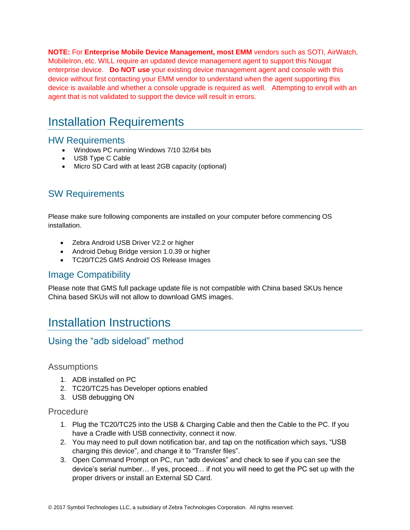**NOTE:** For **Enterprise Mobile Device Management, most EMM** vendors such as SOTI, AirWatch, MobileIron, etc. WILL require an updated device management agent to support this Nougat enterprise device. **Do NOT use** your existing device management agent and console with this device without first contacting your EMM vendor to understand when the agent supporting this device is available and whether a console upgrade is required as well. Attempting to enroll with an agent that is not validated to support the device will result in errors.

## <span id="page-3-0"></span>Installation Requirements

#### HW Requirements

- Windows PC running Windows 7/10 32/64 bits
- USB Type C Cable
- Micro SD Card with at least 2GB capacity (optional)

### SW Requirements

Please make sure following components are installed on your computer before commencing OS installation.

- Zebra Android USB Driver V2.2 or higher
- Android Debug Bridge version 1.0.39 or higher
- TC20/TC25 GMS Android OS Release Images

### Image Compatibility

Please note that GMS full package update file is not compatible with China based SKUs hence China based SKUs will not allow to download GMS images.

## <span id="page-3-1"></span>Installation Instructions

### Using the "adb sideload" method

#### Assumptions

- 1. ADB installed on PC
- 2. TC20/TC25 has Developer options enabled
- 3. USB debugging ON

#### Procedure

- 1. Plug the TC20/TC25 into the USB & Charging Cable and then the Cable to the PC. If you have a Cradle with USB connectivity, connect it now.
- 2. You may need to pull down notification bar, and tap on the notification which says, "USB charging this device", and change it to "Transfer files".
- 3. Open Command Prompt on PC, run "adb devices" and check to see if you can see the device's serial number… If yes, proceed… if not you will need to get the PC set up with the proper drivers or install an External SD Card.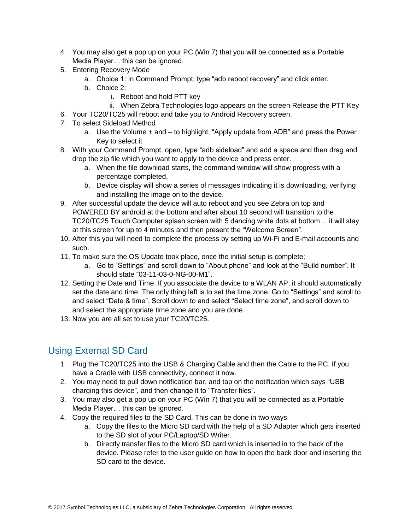- 4. You may also get a pop up on your PC (Win 7) that you will be connected as a Portable Media Player… this can be ignored.
- 5. Entering Recovery Mode
	- a. Choice 1: In Command Prompt, type "adb reboot recovery" and click enter.
	- b. Choice 2:
		- i. Reboot and hold PTT key
		- ii. When Zebra Technologies logo appears on the screen Release the PTT Key
- 6. Your TC20/TC25 will reboot and take you to Android Recovery screen.
- 7. To select Sideload Method
	- a. Use the Volume + and to highlight, "Apply update from ADB" and press the Power Key to select it
- 8. With your Command Prompt, open, type "adb sideload" and add a space and then drag and drop the zip file which you want to apply to the device and press enter.
	- a. When the file download starts, the command window will show progress with a percentage completed.
	- b. Device display will show a series of messages indicating it is downloading, verifying and installing the image on to the device.
- 9. After successful update the device will auto reboot and you see Zebra on top and POWERED BY android at the bottom and after about 10 second will transition to the TC20/TC25 Touch Computer splash screen with 5 dancing white dots at bottom… it will stay at this screen for up to 4 minutes and then present the "Welcome Screen".
- 10. After this you will need to complete the process by setting up Wi-Fi and E-mail accounts and such.
- 11. To make sure the OS Update took place, once the initial setup is complete;
	- a. Go to "Settings" and scroll down to "About phone" and look at the "Build number". It should state "03-11-03-0-NG-00-M1".
- 12. Setting the Date and Time. If you associate the device to a WLAN AP, it should automatically set the date and time. The only thing left is to set the time zone. Go to "Settings" and scroll to and select "Date & time". Scroll down to and select "Select time zone", and scroll down to and select the appropriate time zone and you are done.
- 13. Now you are all set to use your TC20/TC25.

### <span id="page-4-0"></span>Using External SD Card

- 1. Plug the TC20/TC25 into the USB & Charging Cable and then the Cable to the PC. If you have a Cradle with USB connectivity, connect it now.
- 2. You may need to pull down notification bar, and tap on the notification which says "USB charging this device", and then change it to "Transfer files".
- 3. You may also get a pop up on your PC (Win 7) that you will be connected as a Portable Media Player… this can be ignored.
- 4. Copy the required files to the SD Card. This can be done in two ways
	- a. Copy the files to the Micro SD card with the help of a SD Adapter which gets inserted to the SD slot of your PC/Laptop/SD Writer.
	- b. Directly transfer files to the Micro SD card which is inserted in to the back of the device. Please refer to the user guide on how to open the back door and inserting the SD card to the device.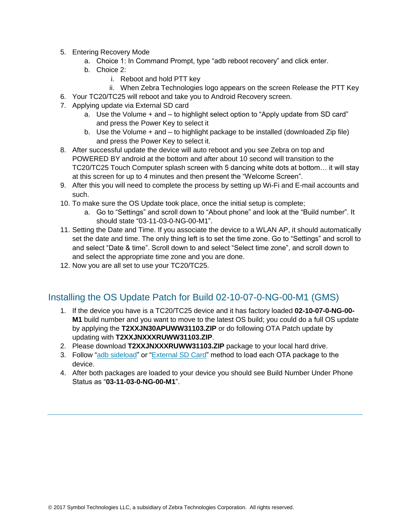- 5. Entering Recovery Mode
	- a. Choice 1: In Command Prompt, type "adb reboot recovery" and click enter.
	- b. Choice 2:
		- i. Reboot and hold PTT key
		- ii. When Zebra Technologies logo appears on the screen Release the PTT Key
- 6. Your TC20/TC25 will reboot and take you to Android Recovery screen.
- 7. Applying update via External SD card
	- a. Use the Volume + and to highlight select option to "Apply update from SD card" and press the Power Key to select it
	- b. Use the Volume + and to highlight package to be installed (downloaded Zip file) and press the Power Key to select it.
- 8. After successful update the device will auto reboot and you see Zebra on top and POWERED BY android at the bottom and after about 10 second will transition to the TC20/TC25 Touch Computer splash screen with 5 dancing white dots at bottom… it will stay at this screen for up to 4 minutes and then present the "Welcome Screen".
- 9. After this you will need to complete the process by setting up Wi-Fi and E-mail accounts and such.
- 10. To make sure the OS Update took place, once the initial setup is complete;
	- a. Go to "Settings" and scroll down to "About phone" and look at the "Build number". It should state "03-11-03-0-NG-00-M1".
- 11. Setting the Date and Time. If you associate the device to a WLAN AP, it should automatically set the date and time. The only thing left is to set the time zone. Go to "Settings" and scroll to and select "Date & time". Scroll down to and select "Select time zone", and scroll down to and select the appropriate time zone and you are done.
- 12. Now you are all set to use your TC20/TC25.

### Installing the OS Update Patch for Build 02-10-07-0-NG-00-M1 (GMS)

- 1. If the device you have is a TC20/TC25 device and it has factory loaded **02-10-07-0-NG-00- M1** build number and you want to move to the latest OS build; you could do a full OS update by applying the **T2XXJN30APUWW31103.ZIP** or do following OTA Patch update by updating with **T2XXJNXXXRUWW31103.ZIP**.
- 2. Please download **T2XXJNXXXRUWW31103.ZIP** package to your local hard drive.
- 3. Follow ["adb sideload"](adb#_Using_the_) or ["External SD Card"](#page-4-0) method to load each OTA package to the device.
- <span id="page-5-0"></span>4. After both packages are loaded to your device you should see Build Number Under Phone Status as "**03-11-03-0-NG-00-M1**".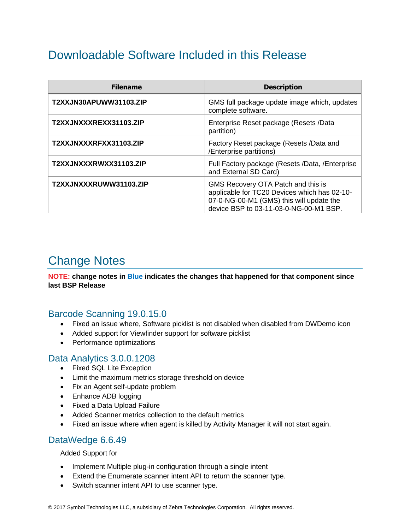## Downloadable Software Included in this Release

| <b>Filename</b>        | <b>Description</b>                                                                                                                                                       |
|------------------------|--------------------------------------------------------------------------------------------------------------------------------------------------------------------------|
| T2XXJN30APUWW31103.ZIP | GMS full package update image which, updates<br>complete software.                                                                                                       |
| T2XXJNXXXREXX31103.ZIP | Enterprise Reset package (Resets /Data<br>partition)                                                                                                                     |
| T2XXJNXXXRFXX31103.ZIP | Factory Reset package (Resets /Data and<br>/Enterprise partitions)                                                                                                       |
| T2XXJNXXXRWXX31103.ZIP | Full Factory package (Resets /Data, /Enterprise<br>and External SD Card)                                                                                                 |
| T2XXJNXXXRUWW31103.ZIP | GMS Recovery OTA Patch and this is<br>applicable for TC20 Devices which has 02-10-<br>07-0-NG-00-M1 (GMS) this will update the<br>device BSP to 03-11-03-0-NG-00-M1 BSP. |

## <span id="page-6-0"></span>Change Notes

**NOTE: change notes in Blue indicates the changes that happened for that component since last BSP Release**

### Barcode Scanning 19.0.15.0

- Fixed an issue where, Software picklist is not disabled when disabled from DWDemo icon
- Added support for Viewfinder support for software picklist
- Performance optimizations

#### Data Analytics 3.0.0.1208

- Fixed SQL Lite Exception
- Limit the maximum metrics storage threshold on device
- Fix an Agent self-update problem
- Enhance ADB logging
- Fixed a Data Upload Failure
- Added Scanner metrics collection to the default metrics
- Fixed an issue where when agent is killed by Activity Manager it will not start again.

#### DataWedge 6.6.49

Added Support for

- Implement Multiple plug-in configuration through a single intent
- Extend the Enumerate scanner intent API to return the scanner type.
- Switch scanner intent API to use scanner type.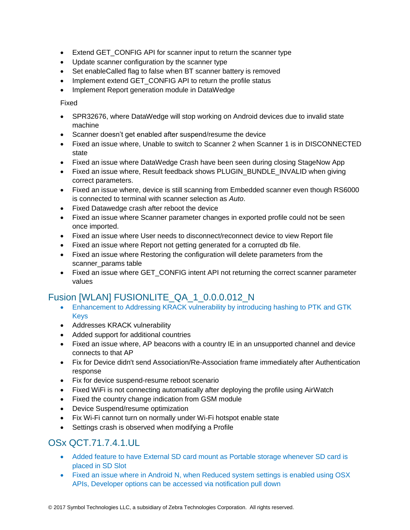- Extend GET CONFIG API for scanner input to return the scanner type
- Update scanner configuration by the scanner type
- Set enableCalled flag to false when BT scanner battery is removed
- Implement extend GET CONFIG API to return the profile status
- Implement Report generation module in DataWedge

Fixed

- SPR32676, where DataWedge will stop working on Android devices due to invalid state machine
- Scanner doesn't get enabled after suspend/resume the device
- Fixed an issue where, Unable to switch to Scanner 2 when Scanner 1 is in DISCONNECTED state
- Fixed an issue where DataWedge Crash have been seen during closing StageNow App
- Fixed an issue where, Result feedback shows PLUGIN\_BUNDLE\_INVALID when giving correct parameters.
- Fixed an issue where, device is still scanning from Embedded scanner even though RS6000 is connected to terminal with scanner selection as *Auto*.
- Fixed Datawedge crash after reboot the device
- Fixed an issue where Scanner parameter changes in exported profile could not be seen once imported.
- Fixed an issue where User needs to disconnect/reconnect device to view Report file
- Fixed an issue where Report not getting generated for a corrupted db file.
- Fixed an issue where Restoring the configuration will delete parameters from the scanner\_params table
- Fixed an issue where GET\_CONFIG intent API not returning the correct scanner parameter values

### Fusion [WLAN] FUSIONLITE\_QA\_1\_0.0.0.012\_N

- Enhancement to Addressing KRACK vulnerability by introducing hashing to PTK and GTK Keys
- Addresses KRACK vulnerability
- Added support for additional countries
- Fixed an issue where, AP beacons with a country IE in an unsupported channel and device connects to that AP
- Fix for Device didn't send Association/Re-Association frame immediately after Authentication response
- Fix for device suspend-resume reboot scenario
- Fixed WiFi is not connecting automatically after deploying the profile using AirWatch
- Fixed the country change indication from GSM module
- Device Suspend/resume optimization
- Fix Wi-Fi cannot turn on normally under Wi-Fi hotspot enable state
- Settings crash is observed when modifying a Profile

### OSx QCT.71.7.4.1.UL

- Added feature to have External SD card mount as Portable storage whenever SD card is placed in SD Slot
- Fixed an issue where in Android N, when Reduced system settings is enabled using OSX APIs, Developer options can be accessed via notification pull down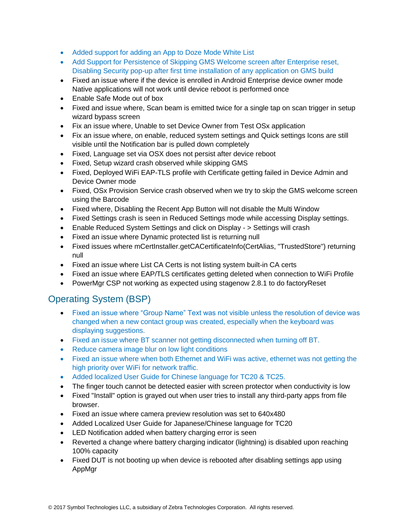- Added support for adding an App to Doze Mode White List
- Add Support for Persistence of Skipping GMS Welcome screen after Enterprise reset, Disabling Security pop-up after first time installation of any application on GMS build
- Fixed an issue where if the device is enrolled in Android Enterprise device owner mode Native applications will not work until device reboot is performed once
- Enable Safe Mode out of box
- Fixed and issue where, Scan beam is emitted twice for a single tap on scan trigger in setup wizard bypass screen
- Fix an issue where, Unable to set Device Owner from Test OSx application
- Fix an issue where, on enable, reduced system settings and Quick settings Icons are still visible until the Notification bar is pulled down completely
- Fixed, Language set via OSX does not persist after device reboot
- Fixed, Setup wizard crash observed while skipping GMS
- Fixed, Deployed WiFi EAP-TLS profile with Certificate getting failed in Device Admin and Device Owner mode
- Fixed, OSx Provision Service crash observed when we try to skip the GMS welcome screen using the Barcode
- Fixed where, Disabling the Recent App Button will not disable the Multi Window
- Fixed Settings crash is seen in Reduced Settings mode while accessing Display settings.
- Enable Reduced System Settings and click on Display > Settings will crash
- Fixed an issue where Dynamic protected list is returning null
- Fixed issues where mCertInstaller.getCACertificateInfo(CertAlias, "TrustedStore") returning null
- Fixed an issue where List CA Certs is not listing system built-in CA certs
- Fixed an issue where EAP/TLS certificates getting deleted when connection to WiFi Profile
- PowerMgr CSP not working as expected using stagenow 2.8.1 to do factoryReset

### Operating System (BSP)

- Fixed an issue where "Group Name" Text was not visible unless the resolution of device was changed when a new contact group was created, especially when the keyboard was displaying suggestions.
- Fixed an issue where BT scanner not getting disconnected when turning off BT.
- Reduce camera image blur on low light conditions
- Fixed an issue where when both Ethernet and WiFi was active, ethernet was not getting the high priority over WiFi for network traffic.
- Added localized User Guide for Chinese language for TC20 & TC25.
- The finger touch cannot be detected easier with screen protector when conductivity is low
- Fixed "Install" option is grayed out when user tries to install any third-party apps from file browser.
- Fixed an issue where camera preview resolution was set to 640x480
- Added Localized User Guide for Japanese/Chinese language for TC20
- LED Notification added when battery charging error is seen
- Reverted a change where battery charging indicator (lightning) is disabled upon reaching 100% capacity
- Fixed DUT is not booting up when device is rebooted after disabling settings app using AppMgr